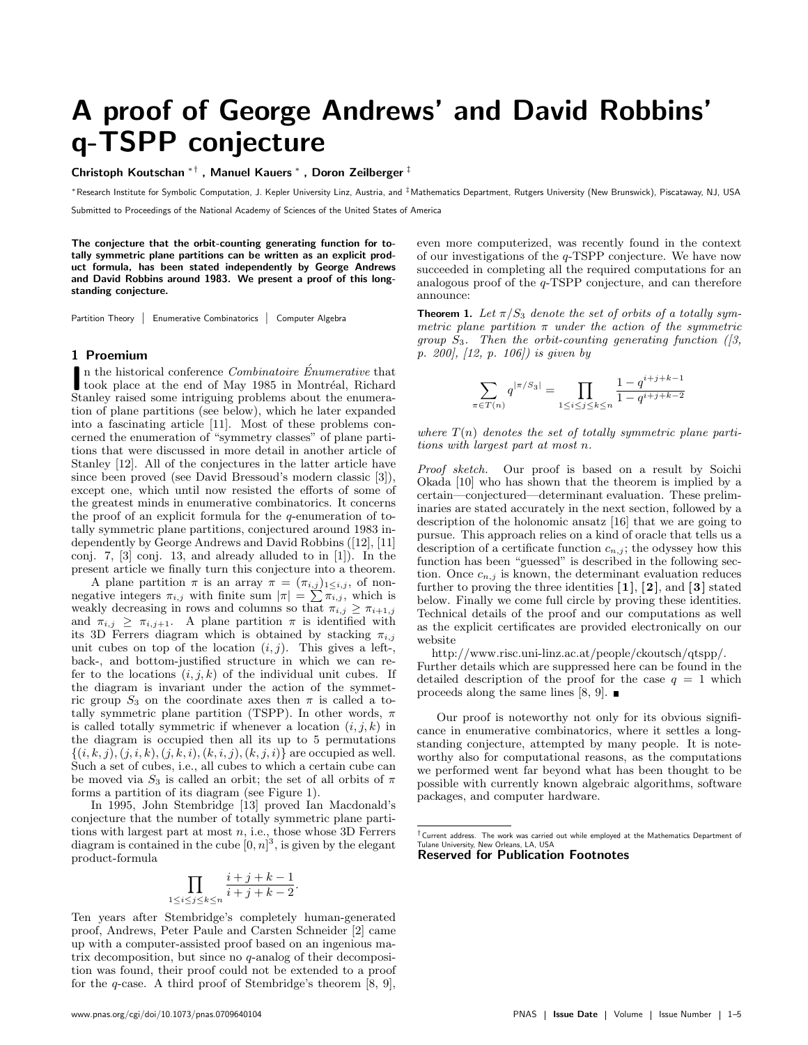# A proof of George Andrews' and David Robbins' q-TSPP conjecture

Christoph Koutschan ∗† , Manuel Kauers <sup>∗</sup> , Doron Zeilberger ‡

<sup>∗</sup>Research Institute for Symbolic Computation, J. Kepler University Linz, Austria, and ‡Mathematics Department, Rutgers University (New Brunswick), Piscataway, NJ, USA

Submitted to Proceedings of the National Academy of Sciences of the United States of America

The conjecture that the orbit-counting generating function for totally symmetric plane partitions can be written as an explicit product formula, has been stated independently by George Andrews and David Robbins around 1983. We present a proof of this longstanding conjecture.

Partition Theory | Enumerative Combinatorics | Computer Algebra

#### 1 Proemium

In the historical conference Combinatoire Énumerative that<br>took place at the end of May 1985 in Montréal, Richard<br>Stanlar priori comparison intriming problems about the numeral took place at the end of May 1985 in Montréal, Richard Stanley raised some intriguing problems about the enumeration of plane partitions (see below), which he later expanded into a fascinating article [11]. Most of these problems concerned the enumeration of "symmetry classes" of plane partitions that were discussed in more detail in another article of Stanley [12]. All of the conjectures in the latter article have since been proved (see David Bressoud's modern classic [3]), except one, which until now resisted the efforts of some of the greatest minds in enumerative combinatorics. It concerns the proof of an explicit formula for the q-enumeration of totally symmetric plane partitions, conjectured around 1983 independently by George Andrews and David Robbins ([12], [11] conj. 7, [3] conj. 13, and already alluded to in [1]). In the present article we finally turn this conjecture into a theorem.

A plane partition  $\pi$  is an array  $\pi = (\pi_{i,j})_{1 \leq i,j}$ , of nonnegative integers  $\pi_{i,j}$  with finite sum  $|\pi| = \sum \pi_{i,j}$ , which is weakly decreasing in rows and columns so that  $\pi_{i,j} \geq \pi_{i+1,j}$ and  $\pi_{i,j} \geq \pi_{i,j+1}$ . A plane partition  $\pi$  is identified with its 3D Ferrers diagram which is obtained by stacking  $\pi_{i,j}$ unit cubes on top of the location  $(i, j)$ . This gives a left-, back-, and bottom-justified structure in which we can refer to the locations  $(i, j, k)$  of the individual unit cubes. If the diagram is invariant under the action of the symmetric group  $S_3$  on the coordinate axes then  $\pi$  is called a totally symmetric plane partition (TSPP). In other words,  $\pi$ is called totally symmetric if whenever a location  $(i, j, k)$  in the diagram is occupied then all its up to 5 permutations  $\{(i, k, j), (j, i, k), (j, k, i), (k, i, j), (k, j, i)\}$  are occupied as well. Such a set of cubes, i.e., all cubes to which a certain cube can be moved via  $S_3$  is called an orbit; the set of all orbits of  $\pi$ forms a partition of its diagram (see Figure 1).

In 1995, John Stembridge [13] proved Ian Macdonald's conjecture that the number of totally symmetric plane partitions with largest part at most  $n$ , i.e., those whose 3D Ferrers diagram is contained in the cube  $[0, n]^3$ , is given by the elegant product-formula

$$
\prod_{1 \le i \le j \le k \le n} \frac{i+j+k-1}{i+j+k-2}
$$

.

Ten years after Stembridge's completely human-generated proof, Andrews, Peter Paule and Carsten Schneider [2] came up with a computer-assisted proof based on an ingenious matrix decomposition, but since no q-analog of their decomposition was found, their proof could not be extended to a proof for the q-case. A third proof of Stembridge's theorem  $[8, 9]$ , even more computerized, was recently found in the context of our investigations of the  $q$ -TSPP conjecture. We have now succeeded in completing all the required computations for an analogous proof of the q-TSPP conjecture, and can therefore announce:

**Theorem 1.** Let  $\pi/S_3$  denote the set of orbits of a totally symmetric plane partition  $\pi$  under the action of the symmetric group  $S_3$ . Then the orbit-counting generating function ([3, p. 200], [12, p. 106]) is given by

$$
\sum_{\pi \in T(n)} q^{|\pi/S_3|} = \prod_{1 \le i \le j \le k \le n} \frac{1 - q^{i+j+k-1}}{1 - q^{i+j+k-2}}
$$

where  $T(n)$  denotes the set of totally symmetric plane partitions with largest part at most n.

Proof sketch. Our proof is based on a result by Soichi Okada [10] who has shown that the theorem is implied by a certain—conjectured—determinant evaluation. These preliminaries are stated accurately in the next section, followed by a description of the holonomic ansatz [16] that we are going to pursue. This approach relies on a kind of oracle that tells us a description of a certificate function  $c_{n,j}$ ; the odyssey how this function has been "guessed" is described in the following section. Once  $c_{n,j}$  is known, the determinant evaluation reduces further to proving the three identities  $[1]$ ,  $[2]$ , and  $[3]$  stated below. Finally we come full circle by proving these identities. Technical details of the proof and our computations as well as the explicit certificates are provided electronically on our website

http://www.risc.uni-linz.ac.at/people/ckoutsch/qtspp/. Further details which are suppressed here can be found in the detailed description of the proof for the case  $q = 1$  which proceeds along the same lines [8, 9].  $\blacksquare$ 

Our proof is noteworthy not only for its obvious significance in enumerative combinatorics, where it settles a longstanding conjecture, attempted by many people. It is noteworthy also for computational reasons, as the computations we performed went far beyond what has been thought to be possible with currently known algebraic algorithms, software packages, and computer hardware.

Reserved for Publication Footnotes

 $^\dagger$ Current address. The work was carried out while employed at the Mathematics Department of<br>Tulane University, New Orleans, LA, USA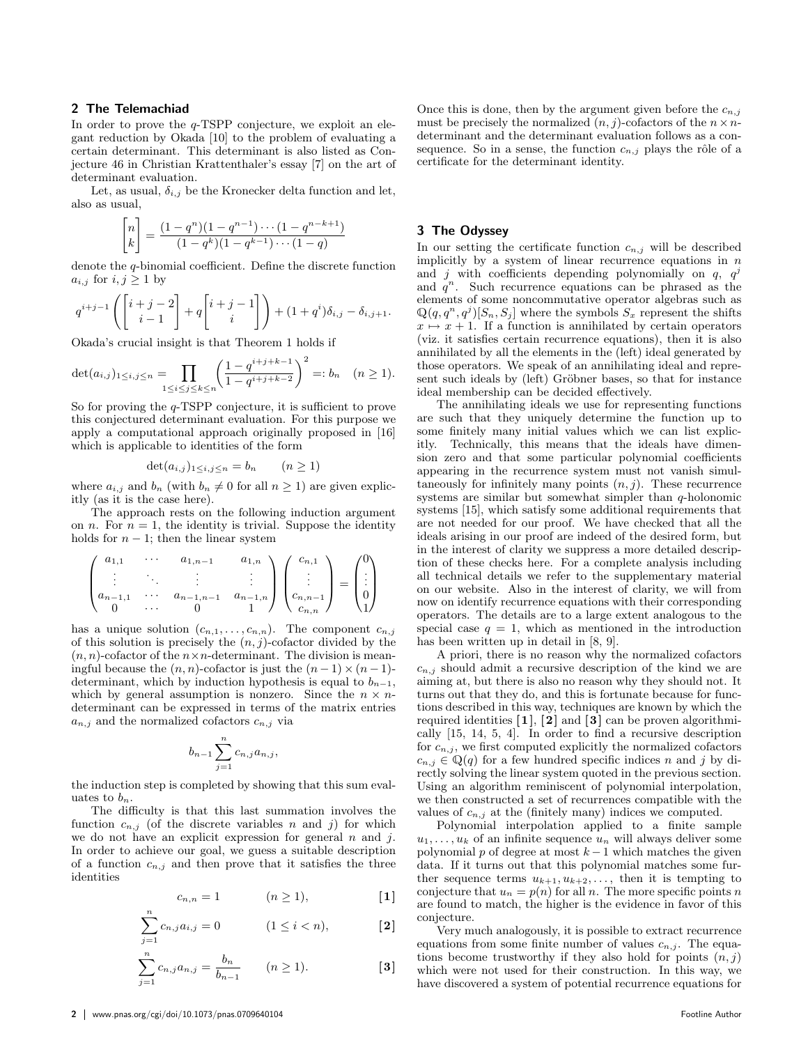### 2 The Telemachiad

In order to prove the q-TSPP conjecture, we exploit an elegant reduction by Okada [10] to the problem of evaluating a certain determinant. This determinant is also listed as Conjecture 46 in Christian Krattenthaler's essay [7] on the art of determinant evaluation.

Let, as usual,  $\delta_{i,j}$  be the Kronecker delta function and let, also as usual,

$$
\begin{bmatrix} n \\ k \end{bmatrix} = \frac{(1 - q^n)(1 - q^{n-1}) \cdots (1 - q^{n-k+1})}{(1 - q^k)(1 - q^{k-1}) \cdots (1 - q)}
$$

denote the q-binomial coefficient. Define the discrete function  $a_{i,j}$  for  $i, j \geq 1$  by

$$
q^{i+j-1}\left(\begin{bmatrix}i+j-2\\i-1\end{bmatrix}+q\begin{bmatrix}i+j-1\\i\end{bmatrix}\right)+(1+q^i)\delta_{i,j}-\delta_{i,j+1}.
$$

Okada's crucial insight is that Theorem 1 holds if

$$
\det(a_{i,j})_{1\leq i,j\leq n} = \prod_{1\leq i\leq j\leq k\leq n} \left(\frac{1-q^{i+j+k-1}}{1-q^{i+j+k-2}}\right)^2 =: b_n \quad (n \geq 1).
$$

So for proving the q-TSPP conjecture, it is sufficient to prove this conjectured determinant evaluation. For this purpose we apply a computational approach originally proposed in [16] which is applicable to identities of the form

$$
\det(a_{i,j})_{1 \le i,j \le n} = b_n \qquad (n \ge 1)
$$

where  $a_{i,j}$  and  $b_n$  (with  $b_n \neq 0$  for all  $n \geq 1$ ) are given explicitly (as it is the case here).

The approach rests on the following induction argument on *n*. For  $n = 1$ , the identity is trivial. Suppose the identity holds for  $n - 1$ ; then the linear system

$$
\begin{pmatrix} a_{1,1} & \cdots & a_{1,n-1} & a_{1,n} \\ \vdots & \ddots & \vdots & \vdots \\ a_{n-1,1} & \cdots & a_{n-1,n-1} & a_{n-1,n} \\ 0 & \cdots & 0 & 1 \end{pmatrix} \begin{pmatrix} c_{n,1} \\ \vdots \\ c_{n,n-1} \\ c_{n,n} \end{pmatrix} = \begin{pmatrix} 0 \\ \vdots \\ 0 \\ 1 \end{pmatrix}
$$

has a unique solution  $(c_{n,1}, \ldots, c_{n,n})$ . The component  $c_{n,j}$ of this solution is precisely the  $(n, j)$ -cofactor divided by the  $(n, n)$ -cofactor of the  $n \times n$ -determinant. The division is meaningful because the  $(n, n)$ -cofactor is just the  $(n - 1) \times (n - 1)$ determinant, which by induction hypothesis is equal to  $b_{n-1}$ , which by general assumption is nonzero. Since the  $n \times n$ determinant can be expressed in terms of the matrix entries  $a_{n,j}$  and the normalized cofactors  $c_{n,j}$  via

$$
b_{n-1}\sum_{j=1}^n c_{n,j}a_{n,j},
$$

the induction step is completed by showing that this sum evaluates to  $b_n$ .

The difficulty is that this last summation involves the function  $c_{n,j}$  (of the discrete variables n and j) for which we do not have an explicit expression for general  $n$  and  $j$ . In order to achieve our goal, we guess a suitable description of a function  $c_{n,j}$  and then prove that it satisfies the three identities

$$
c_{n,n} = 1 \qquad (n \ge 1), \qquad [1]
$$

$$
\sum_{j=1}^{n} c_{n,j} a_{i,j} = 0 \qquad (1 \le i < n), \qquad [2]
$$

$$
\sum_{j=1}^{n} c_{n,j} a_{n,j} = \frac{b_n}{b_{n-1}} \qquad (n \ge 1).
$$
 [3]

Once this is done, then by the argument given before the  $c_{n,j}$ must be precisely the normalized  $(n, j)$ -cofactors of the  $n \times n$ determinant and the determinant evaluation follows as a consequence. So in a sense, the function  $c_{n,j}$  plays the rôle of a certificate for the determinant identity.

### 3 The Odyssey

In our setting the certificate function  $c_{n,j}$  will be described implicitly by a system of linear recurrence equations in  $n$ and j with coefficients depending polynomially on  $q$ ,  $q^j$ and  $q^n$ . Such recurrence equations can be phrased as the elements of some noncommutative operator algebras such as  $\mathbb{Q}(q, q^n, q^j)[S_n, S_j]$  where the symbols  $S_x$  represent the shifts  $x \mapsto x + 1$ . If a function is annihilated by certain operators (viz. it satisfies certain recurrence equations), then it is also annihilated by all the elements in the (left) ideal generated by those operators. We speak of an annihilating ideal and represent such ideals by (left) Gröbner bases, so that for instance ideal membership can be decided effectively.

The annihilating ideals we use for representing functions are such that they uniquely determine the function up to some finitely many initial values which we can list explicitly. Technically, this means that the ideals have dimension zero and that some particular polynomial coefficients appearing in the recurrence system must not vanish simultaneously for infinitely many points  $(n, j)$ . These recurrence systems are similar but somewhat simpler than  $q$ -holonomic systems [15], which satisfy some additional requirements that are not needed for our proof. We have checked that all the ideals arising in our proof are indeed of the desired form, but in the interest of clarity we suppress a more detailed description of these checks here. For a complete analysis including all technical details we refer to the supplementary material on our website. Also in the interest of clarity, we will from now on identify recurrence equations with their corresponding operators. The details are to a large extent analogous to the special case  $q = 1$ , which as mentioned in the introduction has been written up in detail in [8, 9].

A priori, there is no reason why the normalized cofactors  $c_{n,j}$  should admit a recursive description of the kind we are aiming at, but there is also no reason why they should not. It turns out that they do, and this is fortunate because for functions described in this way, techniques are known by which the required identities  $\mathbf{1}, \mathbf{2}$  and  $\mathbf{3}$  can be proven algorithmically [15, 14, 5, 4]. In order to find a recursive description for  $c_{n,j}$ , we first computed explicitly the normalized cofactors  $c_{n,j} \in \mathbb{Q}(q)$  for a few hundred specific indices n and j by directly solving the linear system quoted in the previous section. Using an algorithm reminiscent of polynomial interpolation, we then constructed a set of recurrences compatible with the values of  $c_{n,j}$  at the (finitely many) indices we computed.

Polynomial interpolation applied to a finite sample  $u_1, \ldots, u_k$  of an infinite sequence  $u_n$  will always deliver some polynomial p of degree at most  $k-1$  which matches the given data. If it turns out that this polynomial matches some further sequence terms  $u_{k+1}, u_{k+2}, \ldots$ , then it is tempting to conjecture that  $u_n = p(n)$  for all n. The more specific points n are found to match, the higher is the evidence in favor of this conjecture.

Very much analogously, it is possible to extract recurrence equations from some finite number of values  $c_{n,j}$ . The equations become trustworthy if they also hold for points  $(n, j)$ which were not used for their construction. In this way, we have discovered a system of potential recurrence equations for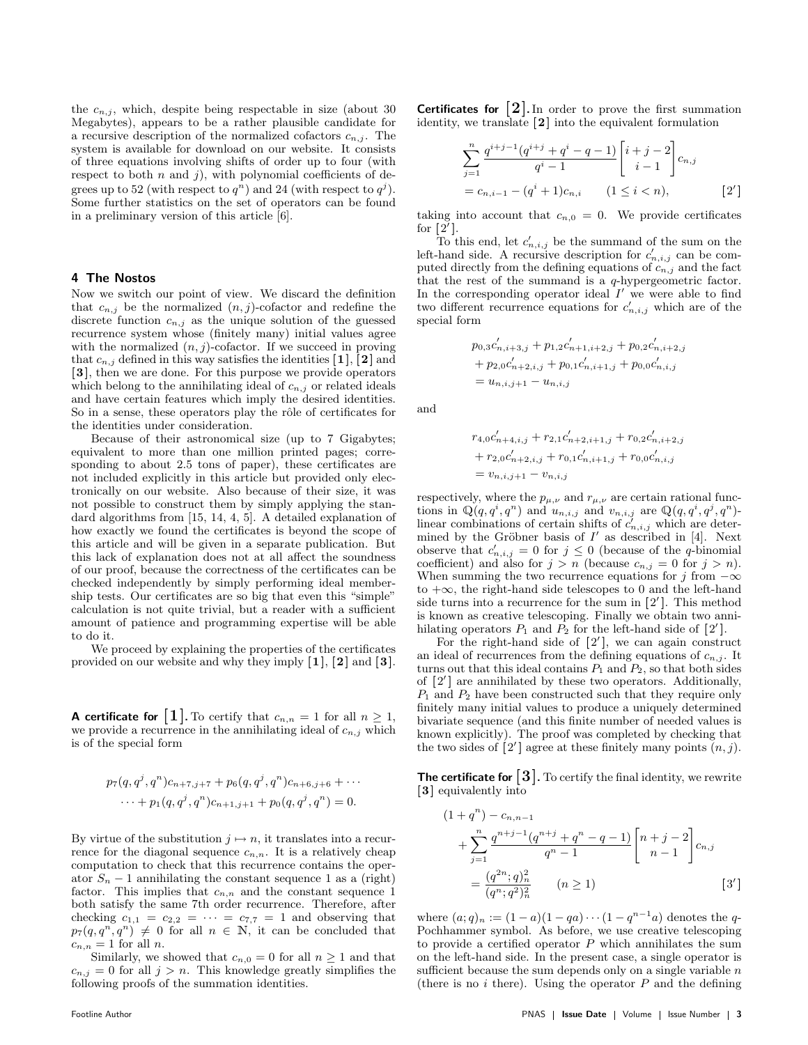the  $c_{n,j}$ , which, despite being respectable in size (about 30) Megabytes), appears to be a rather plausible candidate for a recursive description of the normalized cofactors  $c_{n,j}$ . The system is available for download on our website. It consists of three equations involving shifts of order up to four (with respect to both  $n$  and  $j$ ), with polynomial coefficients of degrees up to 52 (with respect to  $q^n$ ) and 24 (with respect to  $q^j$ ). Some further statistics on the set of operators can be found in a preliminary version of this article [6].

#### 4 The Nostos

Now we switch our point of view. We discard the definition that  $c_{n,j}$  be the normalized  $(n, j)$ -cofactor and redefine the discrete function  $c_{n,j}$  as the unique solution of the guessed recurrence system whose (finitely many) initial values agree with the normalized  $(n, j)$ -cofactor. If we succeed in proving that  $c_{n,j}$  defined in this way satisfies the identities [1], [2] and [3 ], then we are done. For this purpose we provide operators which belong to the annihilating ideal of  $c_{n,j}$  or related ideals and have certain features which imply the desired identities. So in a sense, these operators play the rôle of certificates for the identities under consideration.

Because of their astronomical size (up to 7 Gigabytes; equivalent to more than one million printed pages; corresponding to about 2.5 tons of paper), these certificates are not included explicitly in this article but provided only electronically on our website. Also because of their size, it was not possible to construct them by simply applying the standard algorithms from [15, 14, 4, 5]. A detailed explanation of how exactly we found the certificates is beyond the scope of this article and will be given in a separate publication. But this lack of explanation does not at all affect the soundness of our proof, because the correctness of the certificates can be checked independently by simply performing ideal membership tests. Our certificates are so big that even this "simple" calculation is not quite trivial, but a reader with a sufficient amount of patience and programming expertise will be able to do it.

We proceed by explaining the properties of the certificates provided on our website and why they imply  $[1]$ ,  $[2]$  and  $[3]$ .

**A certificate for** [1]. To certify that  $c_{n,n} = 1$  for all  $n \geq 1$ , we provide a recurrence in the annihilating ideal of  $c_{n,j}$  which is of the special form

$$
p_7(q, q^j, q^n) c_{n+7,j+7} + p_6(q, q^j, q^n) c_{n+6,j+6} + \cdots
$$
  
 
$$
\cdots + p_1(q, q^j, q^n) c_{n+1,j+1} + p_0(q, q^j, q^n) = 0.
$$

By virtue of the substitution  $j \mapsto n$ , it translates into a recurrence for the diagonal sequence  $c_{n,n}$ . It is a relatively cheap computation to check that this recurrence contains the operator  $S_n - 1$  annihilating the constant sequence 1 as a (right) factor. This implies that  $c_{n,n}$  and the constant sequence 1 both satisfy the same 7th order recurrence. Therefore, after checking  $c_{1,1} = c_{2,2} = \cdots = c_{7,7} = 1$  and observing that  $p_7(q, q^n, q^n) \neq 0$  for all  $n \in \mathbb{N}$ , it can be concluded that  $c_{n,n} = 1$  for all n.

Similarly, we showed that  $c_{n,0} = 0$  for all  $n \ge 1$  and that  $c_{n,j} = 0$  for all  $j > n$ . This knowledge greatly simplifies the following proofs of the summation identities.

**Certificates for**  $\begin{bmatrix} 2 \end{bmatrix}$ . In order to prove the first summation identity, we translate [2] into the equivalent formulation

$$
\sum_{j=1}^{n} \frac{q^{i+j-1}(q^{i+j}+q^i-q-1)}{q^i-1} \begin{bmatrix} i+j-2 \ i-1 \end{bmatrix} c_{n,j}
$$
  
=  $c_{n,i-1} - (q^i+1)c_{n,i}$   $(1 \le i < n),$  [2']

taking into account that  $c_{n,0} = 0$ . We provide certificates for  $[2^7]$ .

To this end, let  $c'_{n,i,j}$  be the summand of the sum on the<br>band side. A requirement description for  $c'$  and he some left-hand side. A recursive description for  $c'_{n,i,j}$  can be computed directly from the defining equations of  $c_{n,j}$  and the fact that the rest of the summand is a q-hypergeometric factor. In the corresponding operator ideal  $I'$  we were able to find two different recurrence equations for  $c'_{n,i,j}$  which are of the special form

$$
p_{0,3}c'_{n,i+3,j} + p_{1,2}c'_{n+1,i+2,j} + p_{0,2}c'_{n,i+2,j}
$$
  
+  $p_{2,0}c'_{n+2,i,j} + p_{0,1}c'_{n,i+1,j} + p_{0,0}c'_{n,i,j}$   
=  $u_{n,i,j+1} - u_{n,i,j}$ 

and

$$
r_{4,0}c'_{n+4,i,j} + r_{2,1}c'_{n+2,i+1,j} + r_{0,2}c'_{n,i+2,j}
$$
  
+ 
$$
r_{2,0}c'_{n+2,i,j} + r_{0,1}c'_{n,i+1,j} + r_{0,0}c'_{n,i,j}
$$
  
= 
$$
v_{n,i,j+1} - v_{n,i,j}
$$

respectively, where the  $p_{\mu,\nu}$  and  $r_{\mu,\nu}$  are certain rational functions in  $\mathbb{Q}(q, q^i, q^n)$  and  $u_{n,i,j}$  and  $v_{n,i,j}$  are  $\mathbb{Q}(q, q^i, q^j, q^n)$ linear combinations of certain shifts of  $c'_{n,i,j}$  which are determined by the Gröbner basis of  $I'$  as described in [4]. Next observe that  $c'_{n,i,j} = 0$  for  $j \leq 0$  (because of the q-binomial coefficient) and also for  $j > n$  (because  $c_{n,j} = 0$  for  $j > n$ ). When summing the two recurrence equations for j from  $-\infty$ to +∞, the right-hand side telescopes to 0 and the left-hand side turns into a recurrence for the sum in  $[2']$ . This method is known as creative telescoping. Finally we obtain two annihilating operators  $P_1$  and  $P_2$  for the left-hand side of [2'].

For the right-hand side of  $[2']$ , we can again construct an ideal of recurrences from the defining equations of  $c_{n,j}$ . It turns out that this ideal contains  $P_1$  and  $P_2$ , so that both sides of [2'] are annihilated by these two operators. Additionally,  $P_1$  and  $P_2$  have been constructed such that they require only finitely many initial values to produce a uniquely determined bivariate sequence (and this finite number of needed values is known explicitly). The proof was completed by checking that the two sides of [2'] agree at these finitely many points  $(n, j)$ .

**The certificate for**  $\lceil 3 \rceil$ . To certify the final identity, we rewrite [3] equivalently into

$$
(1+q^{n}) - c_{n,n-1}
$$
  
+ 
$$
\sum_{j=1}^{n} \frac{q^{n+j-1}(q^{n+j} + q^{n} - q - 1)}{q^{n} - 1} \begin{bmatrix} n+j-2 \ n-1 \end{bmatrix} c_{n,j}
$$
  
= 
$$
\frac{(q^{2n}; q)^{2}_{n}}{(q^{n}; q^{2})^{2}_{n}}
$$
  $(n \ge 1)$  [3']

where  $(a;q)_n := (1-a)(1-qa)\cdots(1-q^{n-1}a)$  denotes the q-Pochhammer symbol. As before, we use creative telescoping to provide a certified operator  $P$  which annihilates the sum on the left-hand side. In the present case, a single operator is sufficient because the sum depends only on a single variable  $n$ (there is no  $i$  there). Using the operator  $P$  and the defining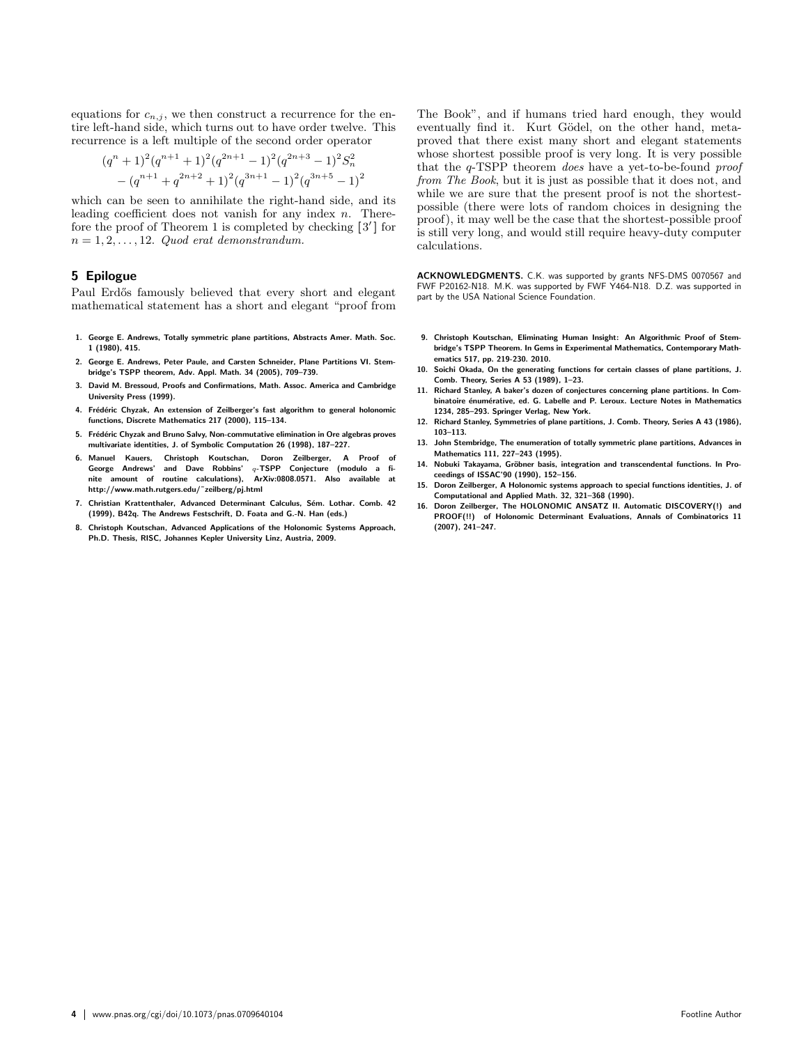equations for  $c_{n,j}$ , we then construct a recurrence for the entire left-hand side, which turns out to have order twelve. This recurrence is a left multiple of the second order operator

$$
(q^{n}+1)^{2}(q^{n+1}+1)^{2}(q^{2n+1}-1)^{2}(q^{2n+3}-1)^{2}S_{n}^{2}
$$

$$
-(q^{n+1}+q^{2n+2}+1)^{2}(q^{3n+1}-1)^{2}(q^{3n+5}-1)^{2}
$$

which can be seen to annihilate the right-hand side, and its leading coefficient does not vanish for any index  $n$ . Therefore the proof of Theorem 1 is completed by checking  $[3']$  for  $n = 1, 2, \ldots, 12$ . Quod erat demonstrandum.

## 5 Epilogue

Paul Erdős famously believed that every short and elegant mathematical statement has a short and elegant "proof from

- 1. George E. Andrews, Totally symmetric plane partitions, Abstracts Amer. Math. Soc. 1 (1980), 415.
- 2. George E. Andrews, Peter Paule, and Carsten Schneider, Plane Partitions VI. Stembridge's TSPP theorem, Adv. Appl. Math. 34 (2005), 709–739.
- 3. David M. Bressoud, Proofs and Confirmations, Math. Assoc. America and Cambridge University Press (1999).
- 4. Frédéric Chyzak, An extension of Zeilberger's fast algorithm to general holonomic functions, Discrete Mathematics 217 (2000), 115–134.
- 5. Frédéric Chyzak and Bruno Salvy, Non-commutative elimination in Ore algebras proves multivariate identities, J. of Symbolic Computation 26 (1998), 187–227.
- 6. Manuel Kauers, Christoph Koutschan, Doron Zeilberger, A Proof of<br>George Andrews' and Dave Robbins' q-TSPP Conjecture (modulo a finite amount of routine calculations), ArXiv:0808.0571. Also available at http://www.math.rutgers.edu/˜zeilberg/pj.html
- 7. Christian Krattenthaler, Advanced Determinant Calculus, Sém. Lothar, Comb. 42 (1999), B42q. The Andrews Festschrift, D. Foata and G.-N. Han (eds.)
- 8. Christoph Koutschan, Advanced Applications of the Holonomic Systems Approach, Ph.D. Thesis, RISC, Johannes Kepler University Linz, Austria, 2009.

The Book", and if humans tried hard enough, they would eventually find it. Kurt Gödel, on the other hand, metaproved that there exist many short and elegant statements whose shortest possible proof is very long. It is very possible that the q-TSPP theorem does have a yet-to-be-found proof from The Book, but it is just as possible that it does not, and while we are sure that the present proof is not the shortestpossible (there were lots of random choices in designing the proof), it may well be the case that the shortest-possible proof is still very long, and would still require heavy-duty computer calculations.

ACKNOWLEDGMENTS. C.K. was supported by grants NFS-DMS 0070567 and FWF P20162-N18. M.K. was supported by FWF Y464-N18. D.Z. was supported in part by the USA National Science Foundation.

- 9. Christoph Koutschan, Eliminating Human Insight: An Algorithmic Proof of Stembridge's TSPP Theorem. In Gems in Experimental Mathematics, Contemporary Mathematics 517, pp. 219-230. 2010.
- 10. Soichi Okada, On the generating functions for certain classes of plane partitions, J. Comb. Theory, Series A 53 (1989), 1–23.
- 11. Richard Stanley, A baker's dozen of conjectures concerning plane partitions. In Combinatoire énumérative, ed. G. Labelle and P. Leroux. Lecture Notes in Mathematics 1234, 285–293. Springer Verlag, New York.
- 12. Richard Stanley, Symmetries of plane partitions, J. Comb. Theory, Series A 43 (1986), 103–113.
- 13. John Stembridge, The enumeration of totally symmetric plane partitions, Advances in Mathematics 111, 227–243 (1995).
- 14. Nobuki Takayama, Gröbner basis, integration and transcendental functions. In Proceedings of ISSAC'90 (1990), 152–156.
- 15. Doron Zeilberger, A Holonomic systems approach to special functions identities, J. of Computational and Applied Math. 32, 321–368 (1990).
- 16. Doron Zeilberger, The HOLONOMIC ANSATZ II. Automatic DISCOVERY(!) and PROOF(!!) of Holonomic Determinant Evaluations, Annals of Combinatorics 11 (2007), 241–247.